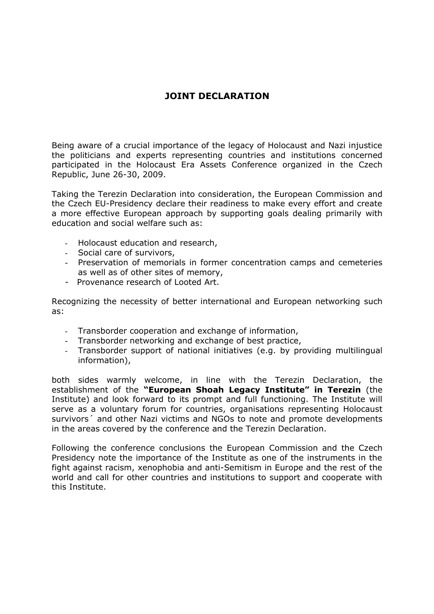## **JOINT DECLARATION**

Being aware of a crucial importance of the legacy of Holocaust and Nazi injustice the politicians and experts representing countries and institutions concerned participated in the Holocaust Era Assets Conference organized in the Czech Republic, June 26-30, 2009.

Taking the Terezin Declaration into consideration, the European Commission and the Czech EU-Presidency declare their readiness to make every effort and create a more effective European approach by supporting goals dealing primarily with education and social welfare such as:

- Holocaust education and research,
- Social care of survivors,
- Preservation of memorials in former concentration camps and cemeteries as well as of other sites of memory,
- Provenance research of Looted Art.

Recognizing the necessity of better international and European networking such as:

- Transborder cooperation and exchange of information,
- Transborder networking and exchange of best practice,
- Transborder support of national initiatives (e.g. by providing multilingual information),

both sides warmly welcome, in line with the Terezin Declaration, the establishment of the **"European Shoah Legacy Institute" in Terezin** (the Institute) and look forward to its prompt and full functioning. The Institute will serve as a voluntary forum for countries, organisations representing Holocaust survivors<sup>'</sup> and other Nazi victims and NGOs to note and promote developments in the areas covered by the conference and the Terezin Declaration.

Following the conference conclusions the European Commission and the Czech Presidency note the importance of the Institute as one of the instruments in the fight against racism, xenophobia and anti-Semitism in Europe and the rest of the world and call for other countries and institutions to support and cooperate with this Institute.